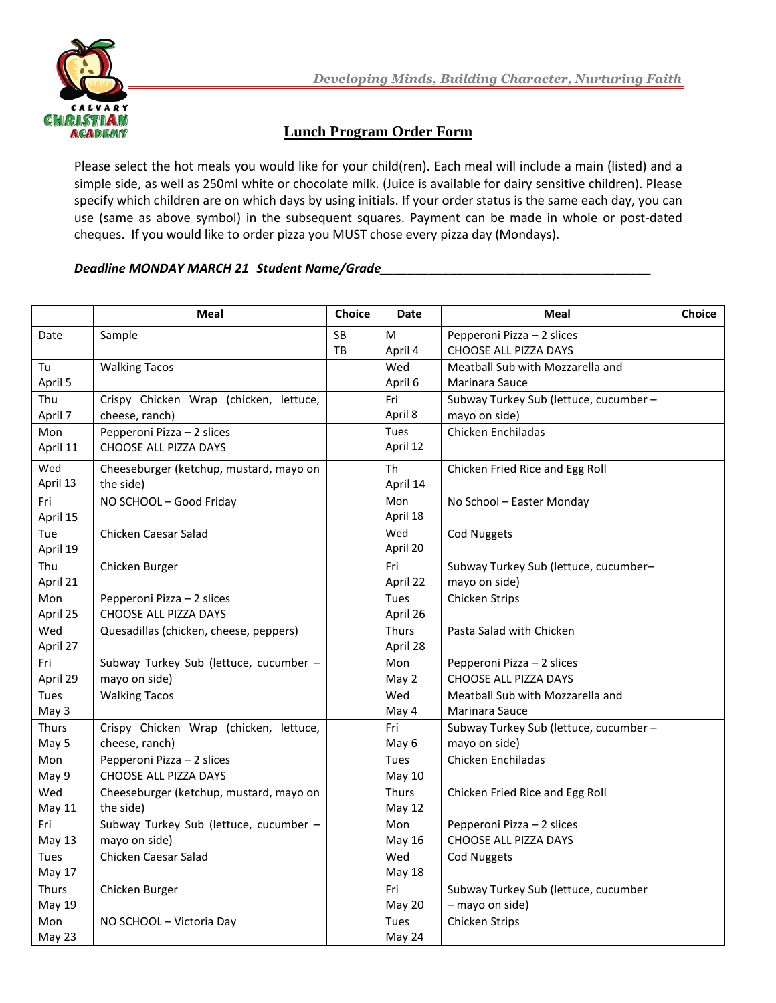

## **Lunch Program Order Form**

Please select the hot meals you would like for your child(ren). Each meal will include a main (listed) and a simple side, as well as 250ml white or chocolate milk. (Juice is available for dairy sensitive children). Please specify which children are on which days by using initials. If your order status is the same each day, you can use (same as above symbol) in the subsequent squares. Payment can be made in whole or post-dated cheques. If you would like to order pizza you MUST chose every pizza day (Mondays).

## *Deadline MONDAY MARCH 21 Student Name/Grade\_\_\_\_\_\_\_\_\_\_\_\_\_\_\_\_\_\_\_\_\_\_\_\_\_\_\_\_\_\_\_\_\_\_\_\_\_\_\_*

|                 | Meal                                                     | <b>Choice</b>   | Date                     | Meal                                                    | Choice |
|-----------------|----------------------------------------------------------|-----------------|--------------------------|---------------------------------------------------------|--------|
| Date            | Sample                                                   | <b>SB</b><br>TB | M<br>April 4             | Pepperoni Pizza - 2 slices<br>CHOOSE ALL PIZZA DAYS     |        |
| Tu<br>April 5   | <b>Walking Tacos</b>                                     |                 | Wed<br>April 6           | Meatball Sub with Mozzarella and<br>Marinara Sauce      |        |
| Thu<br>April 7  | Crispy Chicken Wrap (chicken, lettuce,<br>cheese, ranch) |                 | Fri<br>April 8           | Subway Turkey Sub (lettuce, cucumber -<br>mayo on side) |        |
| Mon<br>April 11 | Pepperoni Pizza - 2 slices<br>CHOOSE ALL PIZZA DAYS      |                 | Tues<br>April 12         | Chicken Enchiladas                                      |        |
| Wed<br>April 13 | Cheeseburger (ketchup, mustard, mayo on<br>the side)     |                 | Th<br>April 14           | Chicken Fried Rice and Egg Roll                         |        |
| Fri<br>April 15 | NO SCHOOL - Good Friday                                  |                 | Mon<br>April 18          | No School - Easter Monday                               |        |
| Tue<br>April 19 | Chicken Caesar Salad                                     |                 | Wed<br>April 20          | <b>Cod Nuggets</b>                                      |        |
| Thu<br>April 21 | Chicken Burger                                           |                 | Fri<br>April 22          | Subway Turkey Sub (lettuce, cucumber-<br>mayo on side)  |        |
| Mon<br>April 25 | Pepperoni Pizza - 2 slices<br>CHOOSE ALL PIZZA DAYS      |                 | Tues<br>April 26         | Chicken Strips                                          |        |
| Wed<br>April 27 | Quesadillas (chicken, cheese, peppers)                   |                 | <b>Thurs</b><br>April 28 | Pasta Salad with Chicken                                |        |
| Fri<br>April 29 | Subway Turkey Sub (lettuce, cucumber -<br>mayo on side)  |                 | Mon<br>May 2             | Pepperoni Pizza - 2 slices<br>CHOOSE ALL PIZZA DAYS     |        |
| Tues<br>May 3   | <b>Walking Tacos</b>                                     |                 | Wed<br>May 4             | Meatball Sub with Mozzarella and<br>Marinara Sauce      |        |
| Thurs<br>May 5  | Crispy Chicken Wrap (chicken, lettuce,<br>cheese, ranch) |                 | Fri<br>May 6             | Subway Turkey Sub (lettuce, cucumber -<br>mayo on side) |        |
| Mon<br>May 9    | Pepperoni Pizza - 2 slices<br>CHOOSE ALL PIZZA DAYS      |                 | Tues<br><b>May 10</b>    | Chicken Enchiladas                                      |        |
| Wed<br>May 11   | Cheeseburger (ketchup, mustard, mayo on<br>the side)     |                 | <b>Thurs</b><br>May 12   | Chicken Fried Rice and Egg Roll                         |        |
| Fri<br>May 13   | Subway Turkey Sub (lettuce, cucumber -<br>mayo on side)  |                 | Mon<br>May 16            | Pepperoni Pizza - 2 slices<br>CHOOSE ALL PIZZA DAYS     |        |
| Tues<br>May 17  | Chicken Caesar Salad                                     |                 | Wed<br><b>May 18</b>     | <b>Cod Nuggets</b>                                      |        |
| Thurs<br>May 19 | Chicken Burger                                           |                 | Fri<br>May 20            | Subway Turkey Sub (lettuce, cucumber<br>- mayo on side) |        |
| Mon<br>May 23   | NO SCHOOL - Victoria Day                                 |                 | Tues<br>May 24           | Chicken Strips                                          |        |